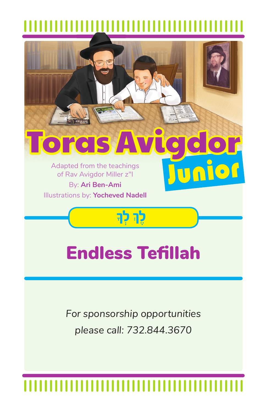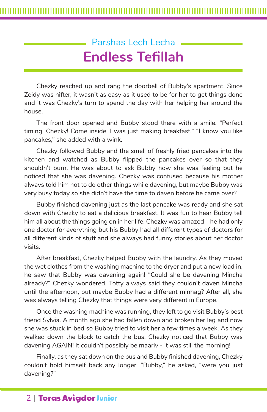# Parshas Lech Lecha **Endless Tefillah**

Chezky reached up and rang the doorbell of Bubby's apartment. Since Zeidy was nifter, it wasn't as easy as it used to be for her to get things done and it was Chezky's turn to spend the day with her helping her around the house.

The front door opened and Bubby stood there with a smile. "Perfect timing, Chezky! Come inside, I was just making breakfast." "I know you like pancakes," she added with a wink.

Chezky followed Bubby and the smell of freshly fried pancakes into the kitchen and watched as Bubby flipped the pancakes over so that they shouldn't burn. He was about to ask Bubby how she was feeling but he noticed that she was davening. Chezky was confused because his mother always told him not to do other things while davening, but maybe Bubby was very busy today so she didn't have the time to daven before he came over?

Bubby finished davening just as the last pancake was ready and she sat down with Chezky to eat a delicious breakfast. It was fun to hear Bubby tell him all about the things going on in her life. Chezky was amazed – he had only one doctor for everything but his Bubby had all different types of doctors for all different kinds of stuff and she always had funny stories about her doctor visits.

After breakfast, Chezky helped Bubby with the laundry. As they moved the wet clothes from the washing machine to the dryer and put a new load in, he saw that Bubby was davening again! "Could she be davening Mincha already?" Chezky wondered. Totty always said they couldn't daven Mincha until the afternoon, but maybe Bubby had a different minhag? After all, she was always telling Chezky that things were very different in Europe.

Once the washing machine was running, they left to go visit Bubby's best friend Sylvia. A month ago she had fallen down and broken her leg and now she was stuck in bed so Bubby tried to visit her a few times a week. As they walked down the block to catch the bus, Chezky noticed that Bubby was davening AGAIN! It couldn't possibly be maariv - it was still the morning!

Finally, as they sat down on the bus and Bubby finished davening, Chezky couldn't hold himself back any longer. "Bubby," he asked, "were you just davening?"

## 2 | Toras Avigdor Junior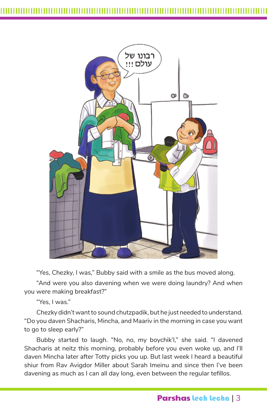

"Yes, Chezky, I was," Bubby said with a smile as the bus moved along.

"And were you also davening when we were doing laundry? And when you were making breakfast?"

"Yes, I was."

Chezky didn't want to sound chutzpadik, but he just needed to understand. "Do you daven Shacharis, Mincha, and Maariv in the morning in case you want to go to sleep early?"

Bubby started to laugh. "No, no, my boychik'l," she said. "I davened Shacharis at neitz this morning, probably before you even woke up, and I'll daven Mincha later after Totty picks you up. But last week I heard a beautiful shiur from Rav Avigdor Miller about Sarah Imeinu and since then I've been davening as much as I can all day long, even between the regular tefillos.